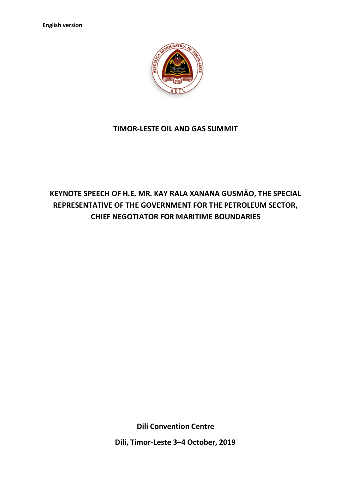

## **TIMOR-LESTE OIL AND GAS SUMMIT**

## **KEYNOTE SPEECH OF H.E. MR. KAY RALA XANANA GUSMÃO, THE SPECIAL REPRESENTATIVE OF THE GOVERNMENT FOR THE PETROLEUM SECTOR, CHIEF NEGOTIATOR FOR MARITIME BOUNDARIES**

**Dili Convention Centre**

**Dili, Timor-Leste 3–4 October, 2019**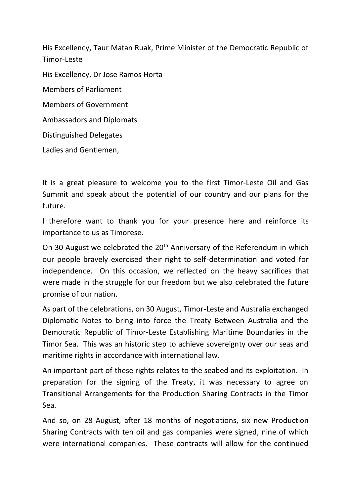His Excellency, Taur Matan Ruak, Prime Minister of the Democratic Republic of Timor-Leste

His Excellency, Dr Jose Ramos Horta Members of Parliament Members of Government Ambassadors and Diplomats Distinguished Delegates

Ladies and Gentlemen,

It is a great pleasure to welcome you to the first Timor-Leste Oil and Gas Summit and speak about the potential of our country and our plans for the future.

I therefore want to thank you for your presence here and reinforce its importance to us as Timorese.

On 30 August we celebrated the 20<sup>th</sup> Anniversary of the Referendum in which our people bravely exercised their right to self-determination and voted for independence. On this occasion, we reflected on the heavy sacrifices that were made in the struggle for our freedom but we also celebrated the future promise of our nation.

As part of the celebrations, on 30 August, Timor-Leste and Australia exchanged Diplomatic Notes to bring into force the Treaty Between Australia and the Democratic Republic of Timor-Leste Establishing Maritime Boundaries in the Timor Sea. This was an historic step to achieve sovereignty over our seas and maritime rights in accordance with international law.

An important part of these rights relates to the seabed and its exploitation. In preparation for the signing of the Treaty, it was necessary to agree on Transitional Arrangements for the Production Sharing Contracts in the Timor Sea.

And so, on 28 August, after 18 months of negotiations, six new Production Sharing Contracts with ten oil and gas companies were signed, nine of which were international companies. These contracts will allow for the continued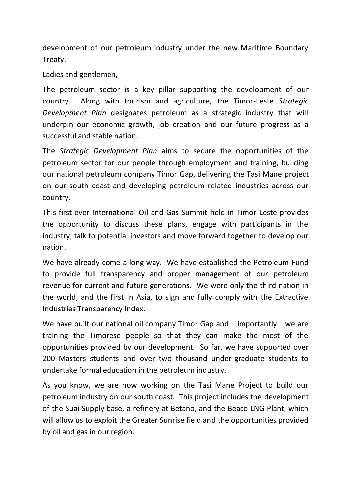development of our petroleum industry under the new Maritime Boundary Treaty.

Ladies and gentlemen,

The petroleum sector is a key pillar supporting the development of our country. Along with tourism and agriculture, the Timor-Leste *Strategic Development Plan* designates petroleum as a strategic industry that will underpin our economic growth, job creation and our future progress as a successful and stable nation.

The *Strategic Development Plan* aims to secure the opportunities of the petroleum sector for our people through employment and training, building our national petroleum company Timor Gap, delivering the Tasi Mane project on our south coast and developing petroleum related industries across our country.

This first ever International Oil and Gas Summit held in Timor-Leste provides the opportunity to discuss these plans, engage with participants in the industry, talk to potential investors and move forward together to develop our nation.

We have already come a long way. We have established the Petroleum Fund to provide full transparency and proper management of our petroleum revenue for current and future generations. We were only the third nation in the world, and the first in Asia, to sign and fully comply with the Extractive Industries Transparency Index.

We have built our national oil company Timor Gap and – importantly – we are training the Timorese people so that they can make the most of the opportunities provided by our development. So far, we have supported over 200 Masters students and over two thousand under-graduate students to undertake formal education in the petroleum industry.

As you know, we are now working on the Tasi Mane Project to build our petroleum industry on our south coast. This project includes the development of the Suai Supply base, a refinery at Betano, and the Beaco LNG Plant, which will allow us to exploit the Greater Sunrise field and the opportunities provided by oil and gas in our region.